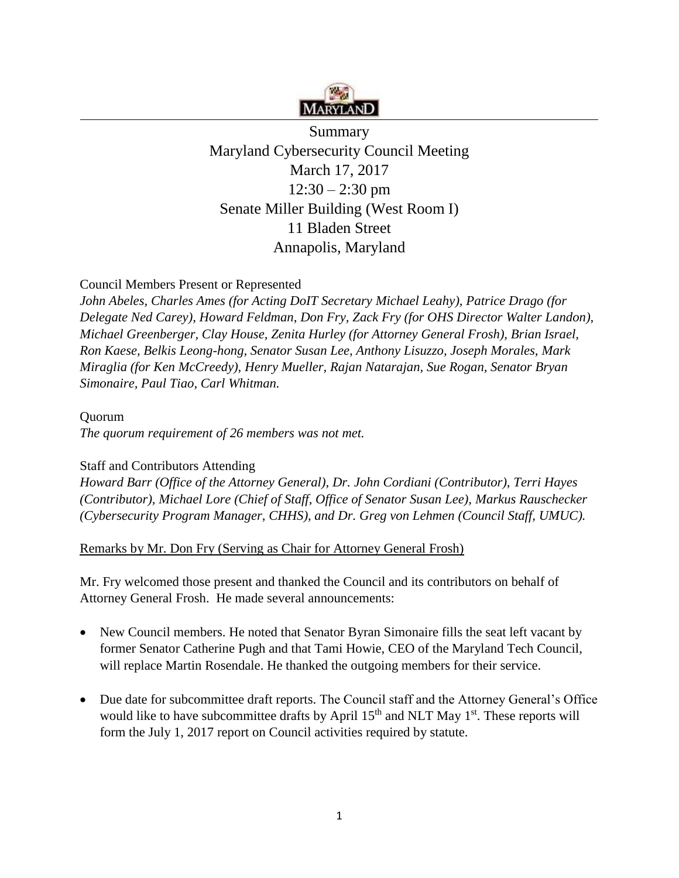

**Summary** Maryland Cybersecurity Council Meeting March 17, 2017  $12:30 - 2:30$  pm Senate Miller Building (West Room I) 11 Bladen Street Annapolis, Maryland

### Council Members Present or Represented

*John Abeles, Charles Ames (for Acting DoIT Secretary Michael Leahy), Patrice Drago (for Delegate Ned Carey), Howard Feldman, Don Fry, Zack Fry (for OHS Director Walter Landon), Michael Greenberger, Clay House, Zenita Hurley (for Attorney General Frosh), Brian Israel, Ron Kaese, Belkis Leong-hong, Senator Susan Lee, Anthony Lisuzzo, Joseph Morales, Mark Miraglia (for Ken McCreedy), Henry Mueller, Rajan Natarajan, Sue Rogan, Senator Bryan Simonaire, Paul Tiao, Carl Whitman.* 

#### Quorum

*The quorum requirement of 26 members was not met.* 

### Staff and Contributors Attending

*Howard Barr (Office of the Attorney General), Dr. John Cordiani (Contributor), Terri Hayes (Contributor), Michael Lore (Chief of Staff, Office of Senator Susan Lee), Markus Rauschecker (Cybersecurity Program Manager, CHHS), and Dr. Greg von Lehmen (Council Staff, UMUC).* 

#### Remarks by Mr. Don Fry (Serving as Chair for Attorney General Frosh)

Mr. Fry welcomed those present and thanked the Council and its contributors on behalf of Attorney General Frosh. He made several announcements:

- New Council members. He noted that Senator Byran Simonaire fills the seat left vacant by former Senator Catherine Pugh and that Tami Howie, CEO of the Maryland Tech Council, will replace Martin Rosendale. He thanked the outgoing members for their service.
- Due date for subcommittee draft reports. The Council staff and the Attorney General's Office would like to have subcommittee drafts by April  $15<sup>th</sup>$  and NLT May  $1<sup>st</sup>$ . These reports will form the July 1, 2017 report on Council activities required by statute.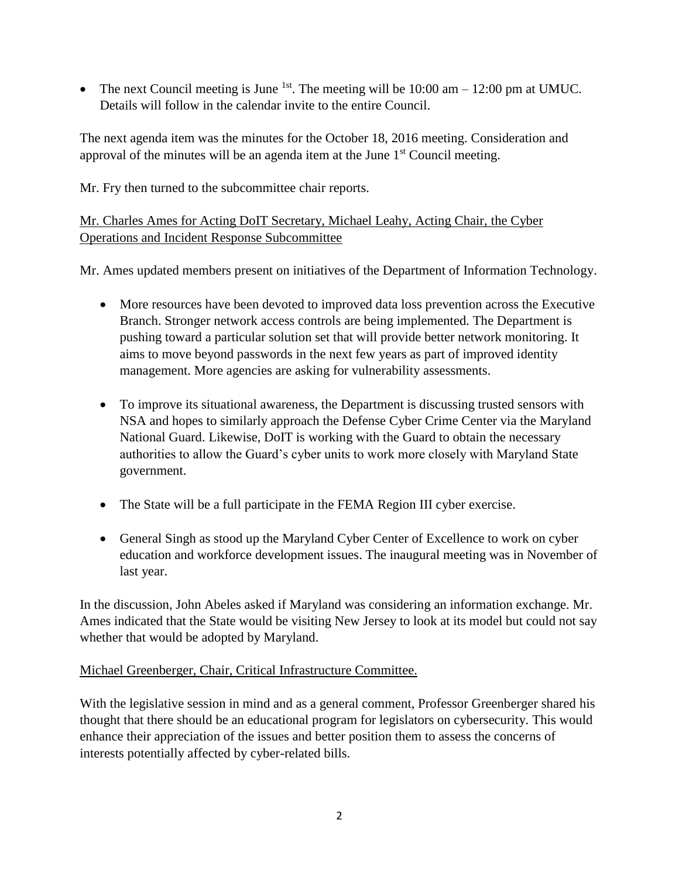• The next Council meeting is June <sup>1st</sup>. The meeting will be  $10:00$  am  $- 12:00$  pm at UMUC. Details will follow in the calendar invite to the entire Council.

The next agenda item was the minutes for the October 18, 2016 meeting. Consideration and approval of the minutes will be an agenda item at the June  $1<sup>st</sup>$  Council meeting.

Mr. Fry then turned to the subcommittee chair reports.

### Mr. Charles Ames for Acting DoIT Secretary, Michael Leahy, Acting Chair, the Cyber Operations and Incident Response Subcommittee

Mr. Ames updated members present on initiatives of the Department of Information Technology.

- More resources have been devoted to improved data loss prevention across the Executive Branch. Stronger network access controls are being implemented. The Department is pushing toward a particular solution set that will provide better network monitoring. It aims to move beyond passwords in the next few years as part of improved identity management. More agencies are asking for vulnerability assessments.
- To improve its situational awareness, the Department is discussing trusted sensors with NSA and hopes to similarly approach the Defense Cyber Crime Center via the Maryland National Guard. Likewise, DoIT is working with the Guard to obtain the necessary authorities to allow the Guard's cyber units to work more closely with Maryland State government.
- The State will be a full participate in the FEMA Region III cyber exercise.
- General Singh as stood up the Maryland Cyber Center of Excellence to work on cyber education and workforce development issues. The inaugural meeting was in November of last year.

In the discussion, John Abeles asked if Maryland was considering an information exchange. Mr. Ames indicated that the State would be visiting New Jersey to look at its model but could not say whether that would be adopted by Maryland.

### Michael Greenberger, Chair, Critical Infrastructure Committee.

With the legislative session in mind and as a general comment, Professor Greenberger shared his thought that there should be an educational program for legislators on cybersecurity. This would enhance their appreciation of the issues and better position them to assess the concerns of interests potentially affected by cyber-related bills.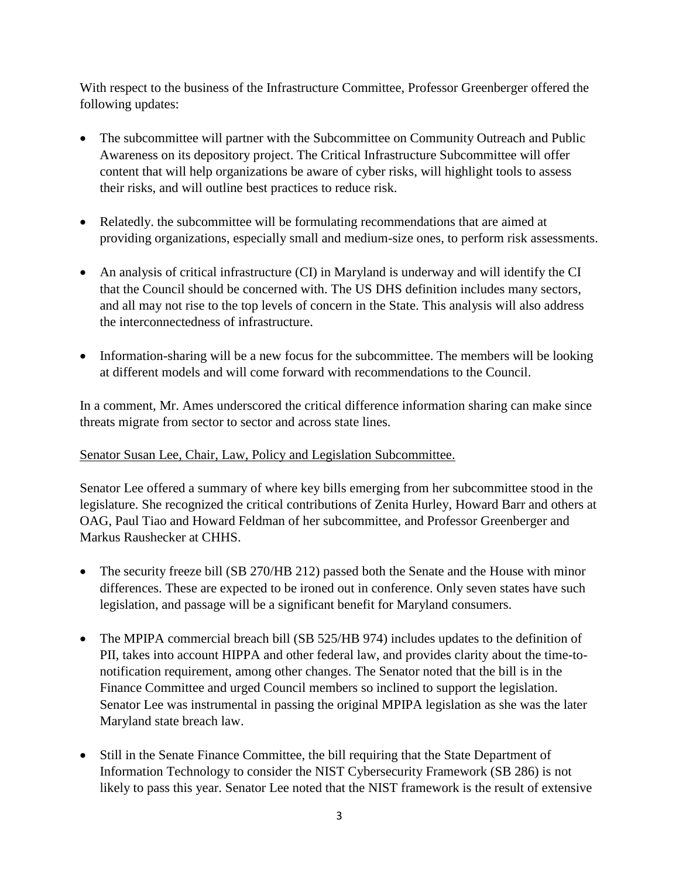With respect to the business of the Infrastructure Committee, Professor Greenberger offered the following updates:

- The subcommittee will partner with the Subcommittee on Community Outreach and Public Awareness on its depository project. The Critical Infrastructure Subcommittee will offer content that will help organizations be aware of cyber risks, will highlight tools to assess their risks, and will outline best practices to reduce risk.
- Relatedly, the subcommittee will be formulating recommendations that are aimed at providing organizations, especially small and medium-size ones, to perform risk assessments.
- An analysis of critical infrastructure (CI) in Maryland is underway and will identify the CI that the Council should be concerned with. The US DHS definition includes many sectors, and all may not rise to the top levels of concern in the State. This analysis will also address the interconnectedness of infrastructure.
- Information-sharing will be a new focus for the subcommittee. The members will be looking at different models and will come forward with recommendations to the Council.

In a comment, Mr. Ames underscored the critical difference information sharing can make since threats migrate from sector to sector and across state lines.

## Senator Susan Lee, Chair, Law, Policy and Legislation Subcommittee.

Senator Lee offered a summary of where key bills emerging from her subcommittee stood in the legislature. She recognized the critical contributions of Zenita Hurley, Howard Barr and others at OAG, Paul Tiao and Howard Feldman of her subcommittee, and Professor Greenberger and Markus Raushecker at CHHS.

- The security freeze bill (SB 270/HB 212) passed both the Senate and the House with minor differences. These are expected to be ironed out in conference. Only seven states have such legislation, and passage will be a significant benefit for Maryland consumers.
- The MPIPA commercial breach bill (SB 525/HB 974) includes updates to the definition of PII, takes into account HIPPA and other federal law, and provides clarity about the time-tonotification requirement, among other changes. The Senator noted that the bill is in the Finance Committee and urged Council members so inclined to support the legislation. Senator Lee was instrumental in passing the original MPIPA legislation as she was the later Maryland state breach law.
- Still in the Senate Finance Committee, the bill requiring that the State Department of Information Technology to consider the NIST Cybersecurity Framework (SB 286) is not likely to pass this year. Senator Lee noted that the NIST framework is the result of extensive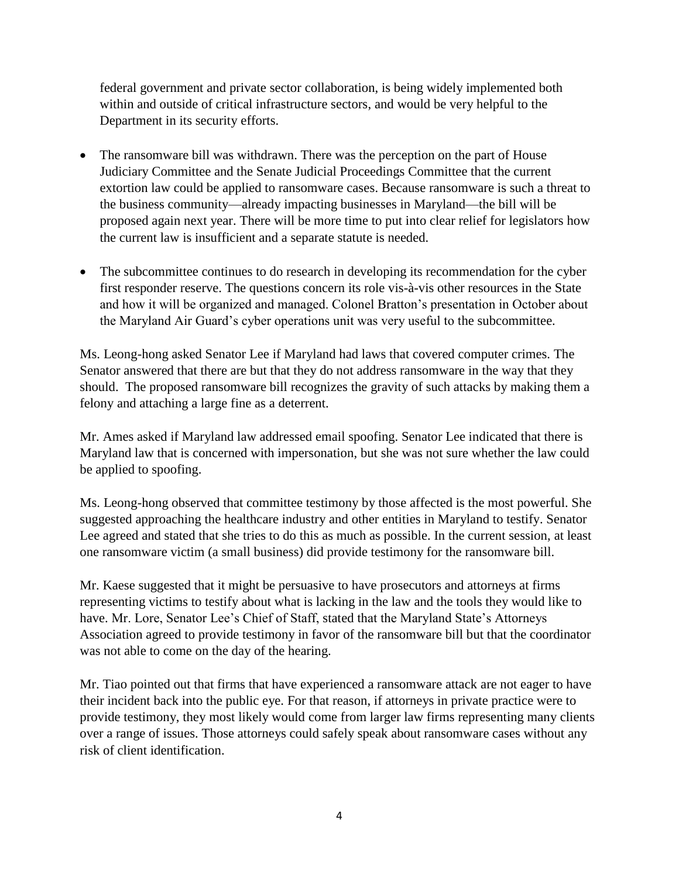federal government and private sector collaboration, is being widely implemented both within and outside of critical infrastructure sectors, and would be very helpful to the Department in its security efforts.

- The ransomware bill was withdrawn. There was the perception on the part of House Judiciary Committee and the Senate Judicial Proceedings Committee that the current extortion law could be applied to ransomware cases. Because ransomware is such a threat to the business community—already impacting businesses in Maryland—the bill will be proposed again next year. There will be more time to put into clear relief for legislators how the current law is insufficient and a separate statute is needed.
- The subcommittee continues to do research in developing its recommendation for the cyber first responder reserve. The questions concern its role vis-à-vis other resources in the State and how it will be organized and managed. Colonel Bratton's presentation in October about the Maryland Air Guard's cyber operations unit was very useful to the subcommittee.

Ms. Leong-hong asked Senator Lee if Maryland had laws that covered computer crimes. The Senator answered that there are but that they do not address ransomware in the way that they should. The proposed ransomware bill recognizes the gravity of such attacks by making them a felony and attaching a large fine as a deterrent.

Mr. Ames asked if Maryland law addressed email spoofing. Senator Lee indicated that there is Maryland law that is concerned with impersonation, but she was not sure whether the law could be applied to spoofing.

Ms. Leong-hong observed that committee testimony by those affected is the most powerful. She suggested approaching the healthcare industry and other entities in Maryland to testify. Senator Lee agreed and stated that she tries to do this as much as possible. In the current session, at least one ransomware victim (a small business) did provide testimony for the ransomware bill.

Mr. Kaese suggested that it might be persuasive to have prosecutors and attorneys at firms representing victims to testify about what is lacking in the law and the tools they would like to have. Mr. Lore, Senator Lee's Chief of Staff, stated that the Maryland State's Attorneys Association agreed to provide testimony in favor of the ransomware bill but that the coordinator was not able to come on the day of the hearing.

Mr. Tiao pointed out that firms that have experienced a ransomware attack are not eager to have their incident back into the public eye. For that reason, if attorneys in private practice were to provide testimony, they most likely would come from larger law firms representing many clients over a range of issues. Those attorneys could safely speak about ransomware cases without any risk of client identification.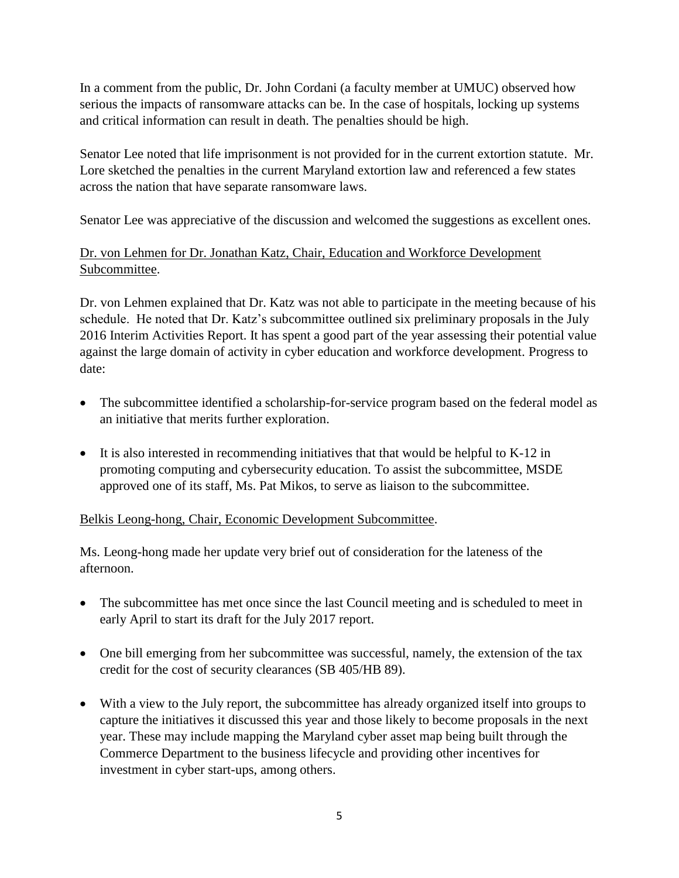In a comment from the public, Dr. John Cordani (a faculty member at UMUC) observed how serious the impacts of ransomware attacks can be. In the case of hospitals, locking up systems and critical information can result in death. The penalties should be high.

Senator Lee noted that life imprisonment is not provided for in the current extortion statute. Mr. Lore sketched the penalties in the current Maryland extortion law and referenced a few states across the nation that have separate ransomware laws.

Senator Lee was appreciative of the discussion and welcomed the suggestions as excellent ones.

# Dr. von Lehmen for Dr. Jonathan Katz, Chair, Education and Workforce Development Subcommittee.

Dr. von Lehmen explained that Dr. Katz was not able to participate in the meeting because of his schedule. He noted that Dr. Katz's subcommittee outlined six preliminary proposals in the July 2016 Interim Activities Report. It has spent a good part of the year assessing their potential value against the large domain of activity in cyber education and workforce development. Progress to date:

- The subcommittee identified a scholarship-for-service program based on the federal model as an initiative that merits further exploration.
- It is also interested in recommending initiatives that that would be helpful to K-12 in promoting computing and cybersecurity education. To assist the subcommittee, MSDE approved one of its staff, Ms. Pat Mikos, to serve as liaison to the subcommittee.

### Belkis Leong-hong, Chair, Economic Development Subcommittee.

Ms. Leong-hong made her update very brief out of consideration for the lateness of the afternoon.

- The subcommittee has met once since the last Council meeting and is scheduled to meet in early April to start its draft for the July 2017 report.
- One bill emerging from her subcommittee was successful, namely, the extension of the tax credit for the cost of security clearances (SB 405/HB 89).
- With a view to the July report, the subcommittee has already organized itself into groups to capture the initiatives it discussed this year and those likely to become proposals in the next year. These may include mapping the Maryland cyber asset map being built through the Commerce Department to the business lifecycle and providing other incentives for investment in cyber start-ups, among others.